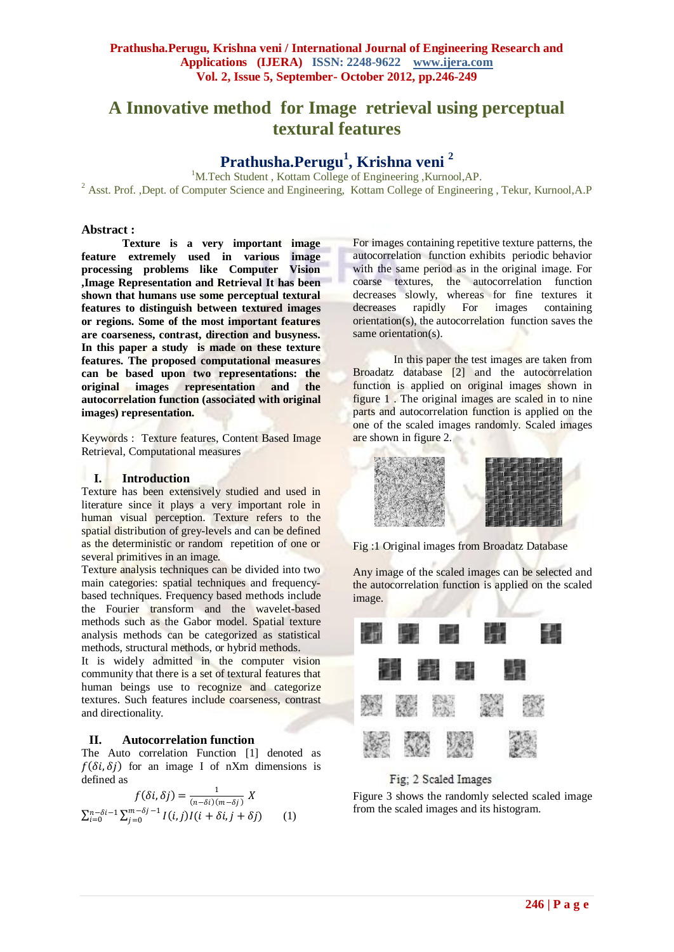# **A Innovative method for Image retrieval using perceptual textural features**

## **Prathusha.Perugu<sup>1</sup> , Krishna veni <sup>2</sup>**

<sup>1</sup>M.Tech Student , Kottam College of Engineering ,Kurnool,AP. <sup>2</sup> Asst. Prof. ,Dept. of Computer Science and Engineering, Kottam College of Engineering , Tekur, Kurnool,A.P

## **Abstract :**

**Texture is a very important image feature extremely used in various image processing problems like Computer Vision ,Image Representation and Retrieval It has been shown that humans use some perceptual textural features to distinguish between textured images or regions. Some of the most important features are coarseness, contrast, direction and busyness. In this paper a study is made on these texture features. The proposed computational measures can be based upon two representations: the original images representation and the autocorrelation function (associated with original images) representation.**

Keywords : Texture features, Content Based Image Retrieval, Computational measures

## **I. Introduction**

Texture has been extensively studied and used in literature since it plays a very important role in human visual perception. Texture refers to the spatial distribution of grey-levels and can be defined as the deterministic or random repetition of one or several primitives in an image.

Texture analysis techniques can be divided into two main categories: spatial techniques and frequencybased techniques. Frequency based methods include the Fourier transform and the wavelet-based methods such as the Gabor model. Spatial texture analysis methods can be categorized as statistical methods, structural methods, or hybrid methods.

It is widely admitted in the computer vision community that there is a set of textural features that human beings use to recognize and categorize textures. Such features include coarseness, contrast and directionality.

## **II. Autocorrelation function**

The Auto correlation Function [1] denoted as  $f(\delta i, \delta j)$  for an image I of nXm dimensions is defined as

$$
f(\delta i, \delta j) = \frac{1}{(n - \delta i)(m - \delta j)} X
$$
  

$$
\sum_{i=0}^{n - \delta i - 1} \sum_{j=0}^{m - \delta j - 1} I(i, j) I(i + \delta i, j + \delta j)
$$
 (1)

For images containing repetitive texture patterns, the autocorrelation function exhibits periodic behavior with the same period as in the original image. For coarse textures, the autocorrelation function decreases slowly, whereas for fine textures it decreases rapidly For images containing orientation(s), the autocorrelation function saves the same orientation(s).

In this paper the test images are taken from Broadatz database [2] and the autocorrelation function is applied on original images shown in figure 1 . The original images are scaled in to nine parts and autocorrelation function is applied on the one of the scaled images randomly. Scaled images are shown in figure 2.



Fig :1 Original images from Broadatz Database

Any image of the scaled images can be selected and the autocorrelation function is applied on the scaled image.



## Fig; 2 Scaled Images

Figure 3 shows the randomly selected scaled image from the scaled images and its histogram.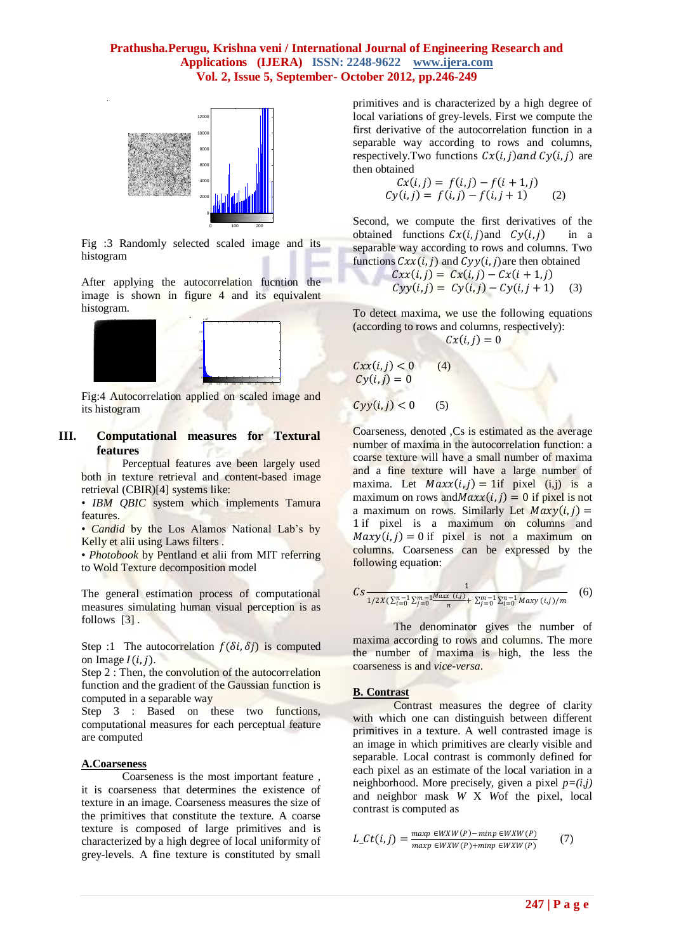## **Prathusha.Perugu, Krishna veni / International Journal of Engineering Research and Applications (IJERA) ISSN: 2248-9622 www.ijera.com Vol. 2, Issue 5, September- October 2012, pp.246-249**



 Fig :3 Randomly selected scaled image and its histogram

After applying the autocorrelation fucntion the image is shown in figure 4 and its equivalent histogram.



Fig:4 Autocorrelation applied on scaled image and its histogram

## **III. Computational measures for Textural features**

Perceptual features ave been largely used both in texture retrieval and content-based image retrieval (CBIR)[4] systems like:

• *IBM QBIC* system which implements Tamura features.

• *Candid* by the Los Alamos National Lab's by Kelly et alii using Laws filters .

• *Photobook* by Pentland et alii from MIT referring to Wold Texture decomposition model

The general estimation process of computational measures simulating human visual perception is as follows [3] .

Step :1 The autocorrelation  $f(\delta i, \delta j)$  is computed on Image  $I(i, j)$ .

Step 2 : Then, the convolution of the autocorrelation function and the gradient of the Gaussian function is computed in a separable way

Step 3 : Based on these two functions, computational measures for each perceptual feature are computed

#### **A.Coarseness**

Coarseness is the most important feature , it is coarseness that determines the existence of texture in an image. Coarseness measures the size of the primitives that constitute the texture. A coarse texture is composed of large primitives and is characterized by a high degree of local uniformity of grey-levels. A fine texture is constituted by small primitives and is characterized by a high degree of local variations of grey-levels. First we compute the first derivative of the autocorrelation function in a separable way according to rows and columns, respectively. Two functions  $Cx(i, i)$  and  $Cv(i, i)$  are then obtained

$$
Cx(i, j) = f(i, j) - f(i + 1, j)
$$
  
\n
$$
Cy(i, j) = f(i, j) - f(i, j + 1)
$$
 (2)

Second, we compute the first derivatives of the obtained functions  $Cx(i, j)$  and  $Cy(i, j)$  in a separable way according to rows and columns. Two functions  $Cxx(i, j)$  and  $Cyy(i, j)$ are then obtained

$$
Cxx(i,j) = Cx(i,j) - Cx(i+1,j)
$$
  
\n
$$
Cyy(i,j) = Cy(i,j) - Cy(i,j+1)
$$
 (3)

To detect maxima, we use the following equations (according to rows and columns, respectively):  $Cx(i, j) = 0$ 

$$
Cxx(i,j) < 0 \qquad (4)
$$
\n
$$
Cy(i,j) = 0
$$

$$
Cyy(i,j) < 0 \qquad (5)
$$

Coarseness, denoted ,Cs is estimated as the average number of maxima in the autocorrelation function: a coarse texture will have a small number of maxima and a fine texture will have a large number of maxima. Let  $Maxx(i, j) = 1$ if pixel (i,j) is a maximum on rows and  $Maxx(i, j) = 0$  if pixel is not a maximum on rows. Similarly Let  $Maxy(i, j) =$ 1 if pixel is a maximum on columns and  $Maxy(i, j) = 0$  if pixel is not a maximum on columns. Coarseness can be expressed by the following equation:

$$
Cs \frac{1}{1/2X(\sum_{i=0}^{n-1} \sum_{j=0}^{m-1} \frac{Maxx(i,j)}{n} + \sum_{j=0}^{m-1} \sum_{i=0}^{n-1} Maxy(i,j)/m}) \quad (6)
$$

The denominator gives the number of maxima according to rows and columns. The more the number of maxima is high, the less the coarseness is and *vice-versa*.

## **B. Contrast**

Contrast measures the degree of clarity with which one can distinguish between different primitives in a texture. A well contrasted image is an image in which primitives are clearly visible and separable. Local contrast is commonly defined for each pixel as an estimate of the local variation in a neighborhood. More precisely, given a pixel  $p=(i,j)$ and neighbor mask *W* X *W*of the pixel, local contrast is computed as

$$
L_{-}Ct(i,j) = \frac{\max p \in WXW(P) - \min p \in WXW(P)}{\max p \in WXW(P) + \min p \in WXW(P)}
$$
(7)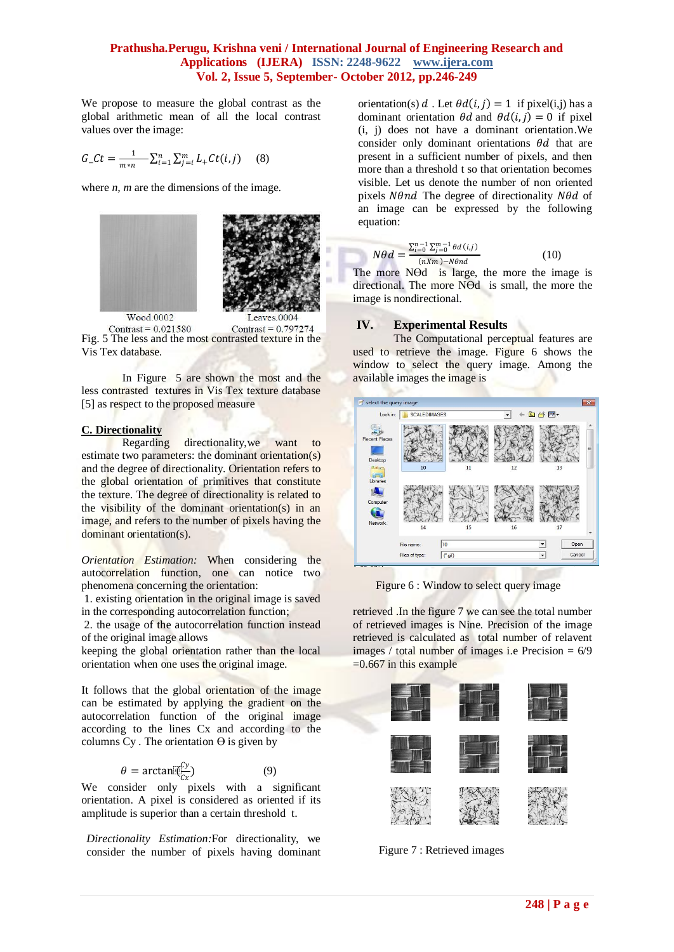## **Prathusha.Perugu, Krishna veni / International Journal of Engineering Research and Applications (IJERA) ISSN: 2248-9622 www.ijera.com Vol. 2, Issue 5, September- October 2012, pp.246-249**

We propose to measure the global contrast as the global arithmetic mean of all the local contrast values over the image:

$$
G_{-}Ct = \frac{1}{m*n} \sum_{i=1}^{n} \sum_{j=i}^{m} L_{+}Ct(i,j) \qquad (8)
$$

where *n, m* are the dimensions of the image.



Contrast =  $0.021580$ Contrast =  $0.797274$ Fig. 5 The less and the most contrasted texture in the Vis Tex database.

In Figure 5 are shown the most and the less contrasted textures in Vis Tex texture database [5] as respect to the proposed measure

#### **C. Directionality**

Regarding directionality,we want to estimate two parameters: the dominant orientation(s) and the degree of directionality. Orientation refers to the global orientation of primitives that constitute the texture. The degree of directionality is related to the visibility of the dominant orientation(s) in an image, and refers to the number of pixels having the dominant orientation(s).

*Orientation Estimation:* When considering the autocorrelation function, one can notice two phenomena concerning the orientation:

1. existing orientation in the original image is saved in the corresponding autocorrelation function;

2. the usage of the autocorrelation function instead of the original image allows

keeping the global orientation rather than the local orientation when one uses the original image.

It follows that the global orientation of the image can be estimated by applying the gradient on the autocorrelation function of the original image according to the lines Cx and according to the columns  $Cy$ . The orientation  $\Theta$  is given by

$$
\theta = \arctan[\overline{\mathfrak{C}}_{\overline{C}}^{\mathfrak{C}y}]
$$
 (9)

We consider only pixels with a significant orientation. A pixel is considered as oriented if its amplitude is superior than a certain threshold t.

*Directionality Estimation:*For directionality, we consider the number of pixels having dominant orientation(s) d. Let  $\theta d(i, j) = 1$  if pixel(i,j) has a dominant orientation  $\theta d$  and  $\theta d(i, j) = 0$  if pixel (i, j) does not have a dominant orientation.We consider only dominant orientations  $\theta d$  that are present in a sufficient number of pixels, and then more than a threshold t so that orientation becomes visible. Let us denote the number of non oriented pixels *Nθnd* The degree of directionality  $N\theta d$  of an image can be expressed by the following equation:

$$
N\theta d = \frac{\sum_{i=0}^{n-1} \sum_{j=0}^{m-1} \theta d(i,j)}{(nXm) - N\theta nd}
$$
(10)

The more NO is large, the more the image is directional. The more NӨd is small, the more the image is nondirectional.

#### **IV. Experimental Results**

The Computational perceptual features are used to retrieve the image. Figure 6 shows the window to select the query image. Among the available images the image is



Figure 6 : Window to select query image

retrieved .In the figure 7 we can see the total number of retrieved images is Nine. Precision of the image retrieved is calculated as total number of relavent images / total number of images i.e Precision  $= 6/9$  $=0.667$  in this example



Figure 7 : Retrieved images